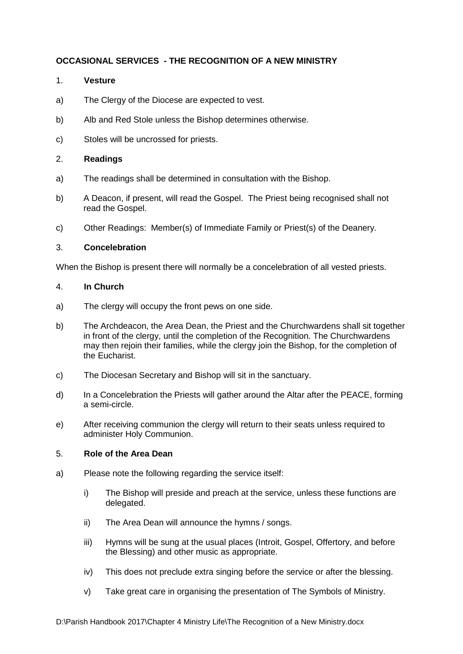# **OCCASIONAL SERVICES - THE RECOGNITION OF A NEW MINISTRY**

## 1. **Vesture**

- a) The Clergy of the Diocese are expected to vest.
- b) Alb and Red Stole unless the Bishop determines otherwise.
- c) Stoles will be uncrossed for priests.

## 2. **Readings**

- a) The readings shall be determined in consultation with the Bishop.
- b) A Deacon, if present, will read the Gospel. The Priest being recognised shall not read the Gospel.
- c) Other Readings: Member(s) of Immediate Family or Priest(s) of the Deanery.

## 3. **Concelebration**

When the Bishop is present there will normally be a concelebration of all vested priests.

## 4. **In Church**

- a) The clergy will occupy the front pews on one side.
- b) The Archdeacon, the Area Dean, the Priest and the Churchwardens shall sit together in front of the clergy, until the completion of the Recognition. The Churchwardens may then rejoin their families, while the clergy join the Bishop, for the completion of the Eucharist.
- c) The Diocesan Secretary and Bishop will sit in the sanctuary.
- d) In a Concelebration the Priests will gather around the Altar after the PEACE, forming a semi-circle.
- e) After receiving communion the clergy will return to their seats unless required to administer Holy Communion.

## 5. **Role of the Area Dean**

- a) Please note the following regarding the service itself:
	- i) The Bishop will preside and preach at the service, unless these functions are delegated.
	- ii) The Area Dean will announce the hymns / songs.
	- iii) Hymns will be sung at the usual places (Introit, Gospel, Offertory, and before the Blessing) and other music as appropriate.
	- iv) This does not preclude extra singing before the service or after the blessing.
	- v) Take great care in organising the presentation of The Symbols of Ministry.